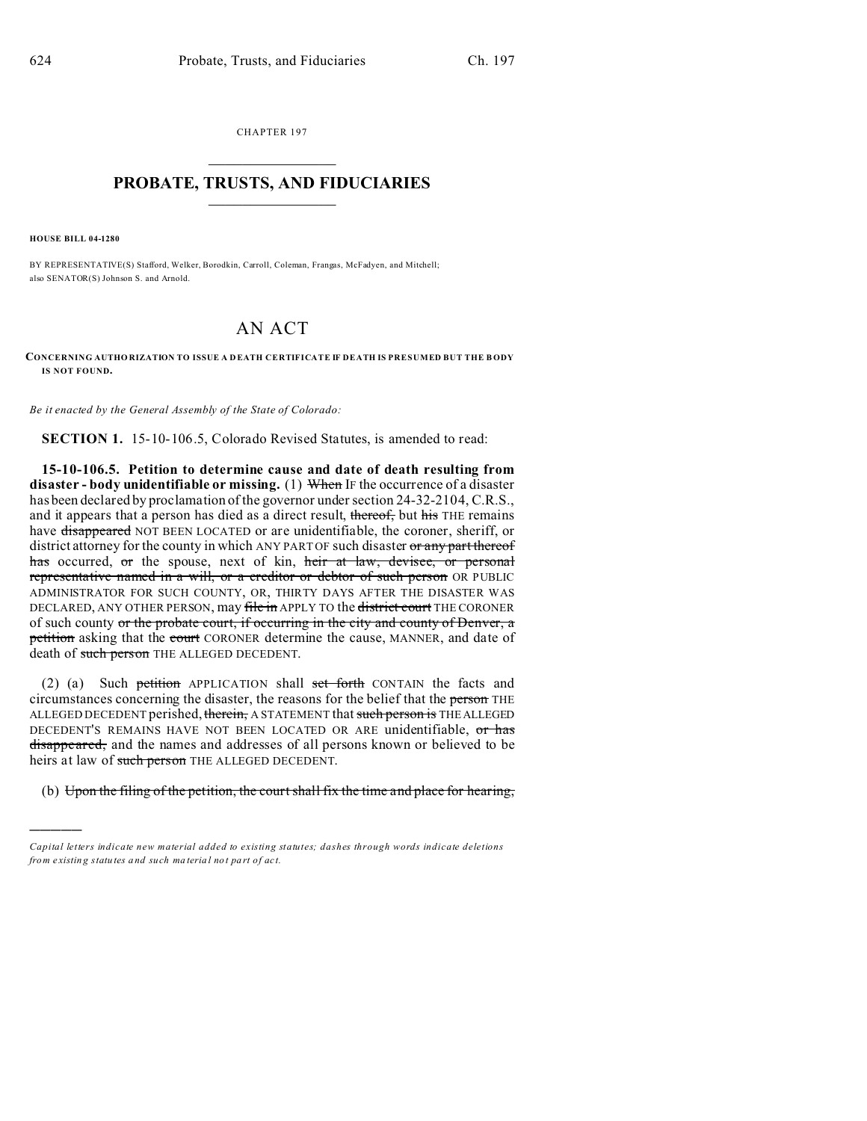CHAPTER 197  $\overline{\phantom{a}}$  , where  $\overline{\phantom{a}}$ 

## **PROBATE, TRUSTS, AND FIDUCIARIES**  $\overline{\phantom{a}}$

**HOUSE BILL 04-1280**

)))))

BY REPRESENTATIVE(S) Stafford, Welker, Borodkin, Carroll, Coleman, Frangas, McFadyen, and Mitchell; also SENATOR(S) Johnson S. and Arnold.

## AN ACT

**CONCERNING AUTHO RIZATION TO ISSUE A D EATH CERTIFICATE IF DEATH IS PRESUMED BUT THE B ODY IS NOT FOUND.**

*Be it enacted by the General Assembly of the State of Colorado:*

**SECTION 1.** 15-10-106.5, Colorado Revised Statutes, is amended to read:

**15-10-106.5. Petition to determine cause and date of death resulting from disaster - body unidentifiable or missing.** (1) When IF the occurrence of a disaster has been declared by proclamation of the governor under section 24-32-2104, C.R.S., and it appears that a person has died as a direct result, thereof, but his THE remains have disappeared NOT BEEN LOCATED or are unidentifiable, the coroner, sheriff, or district attorney for the county in which ANY PART OF such disaster or any part thereof has occurred, or the spouse, next of kin, heir at law, devisee, or personal representative named in a will, or a creditor or debtor of such person OR PUBLIC ADMINISTRATOR FOR SUCH COUNTY, OR, THIRTY DAYS AFTER THE DISASTER WAS DECLARED, ANY OTHER PERSON, may file in APPLY TO the district court THE CORONER of such county or the probate court, if occurring in the city and county of Denver, a petition asking that the court CORONER determine the cause, MANNER, and date of death of such person THE ALLEGED DECEDENT.

(2) (a) Such petition APPLICATION shall set forth CONTAIN the facts and circumstances concerning the disaster, the reasons for the belief that the person THE ALLEGED DECEDENT perished, therein, A STATEMENT that such person is THE ALLEGED DECEDENT'S REMAINS HAVE NOT BEEN LOCATED OR ARE unidentifiable, or has disappeared, and the names and addresses of all persons known or believed to be heirs at law of such person THE ALLEGED DECEDENT.

(b) Upon the filing of the petition, the court shall fix the time and place for hearing,

*Capital letters indicate new material added to existing statutes; dashes through words indicate deletions from e xistin g statu tes a nd such ma teria l no t pa rt of ac t.*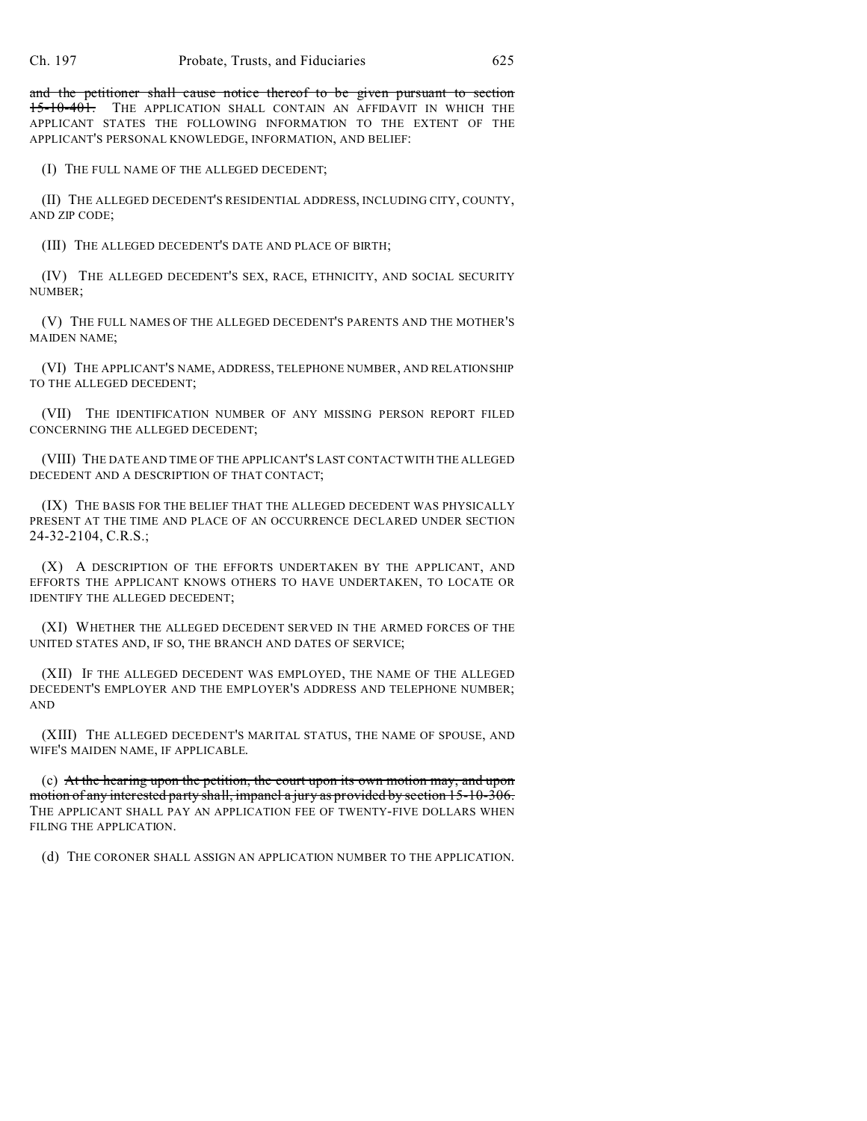and the petitioner shall cause notice thereof to be given pursuant to section 15-10-401. THE APPLICATION SHALL CONTAIN AN AFFIDAVIT IN WHICH THE APPLICANT STATES THE FOLLOWING INFORMATION TO THE EXTENT OF THE APPLICANT'S PERSONAL KNOWLEDGE, INFORMATION, AND BELIEF:

(I) THE FULL NAME OF THE ALLEGED DECEDENT;

(II) THE ALLEGED DECEDENT'S RESIDENTIAL ADDRESS, INCLUDING CITY, COUNTY, AND ZIP CODE;

(III) THE ALLEGED DECEDENT'S DATE AND PLACE OF BIRTH;

(IV) THE ALLEGED DECEDENT'S SEX, RACE, ETHNICITY, AND SOCIAL SECURITY NUMBER;

(V) THE FULL NAMES OF THE ALLEGED DECEDENT'S PARENTS AND THE MOTHER'S MAIDEN NAME;

(VI) THE APPLICANT'S NAME, ADDRESS, TELEPHONE NUMBER, AND RELATIONSHIP TO THE ALLEGED DECEDENT;

(VII) THE IDENTIFICATION NUMBER OF ANY MISSING PERSON REPORT FILED CONCERNING THE ALLEGED DECEDENT;

(VIII) THE DATE AND TIME OF THE APPLICANT'S LAST CONTACT WITH THE ALLEGED DECEDENT AND A DESCRIPTION OF THAT CONTACT;

(IX) THE BASIS FOR THE BELIEF THAT THE ALLEGED DECEDENT WAS PHYSICALLY PRESENT AT THE TIME AND PLACE OF AN OCCURRENCE DECLARED UNDER SECTION 24-32-2104, C.R.S.;

(X) A DESCRIPTION OF THE EFFORTS UNDERTAKEN BY THE APPLICANT, AND EFFORTS THE APPLICANT KNOWS OTHERS TO HAVE UNDERTAKEN, TO LOCATE OR IDENTIFY THE ALLEGED DECEDENT;

(XI) WHETHER THE ALLEGED DECEDENT SERVED IN THE ARMED FORCES OF THE UNITED STATES AND, IF SO, THE BRANCH AND DATES OF SERVICE;

(XII) IF THE ALLEGED DECEDENT WAS EMPLOYED, THE NAME OF THE ALLEGED DECEDENT'S EMPLOYER AND THE EMPLOYER'S ADDRESS AND TELEPHONE NUMBER; AND

(XIII) THE ALLEGED DECEDENT'S MARITAL STATUS, THE NAME OF SPOUSE, AND WIFE'S MAIDEN NAME, IF APPLICABLE.

(c) At the hearing upon the petition, the court upon its own motion may, and upon motion of any interested party shall, impanel a jury as provided by section 15-10-306. THE APPLICANT SHALL PAY AN APPLICATION FEE OF TWENTY-FIVE DOLLARS WHEN FILING THE APPLICATION.

(d) THE CORONER SHALL ASSIGN AN APPLICATION NUMBER TO THE APPLICATION.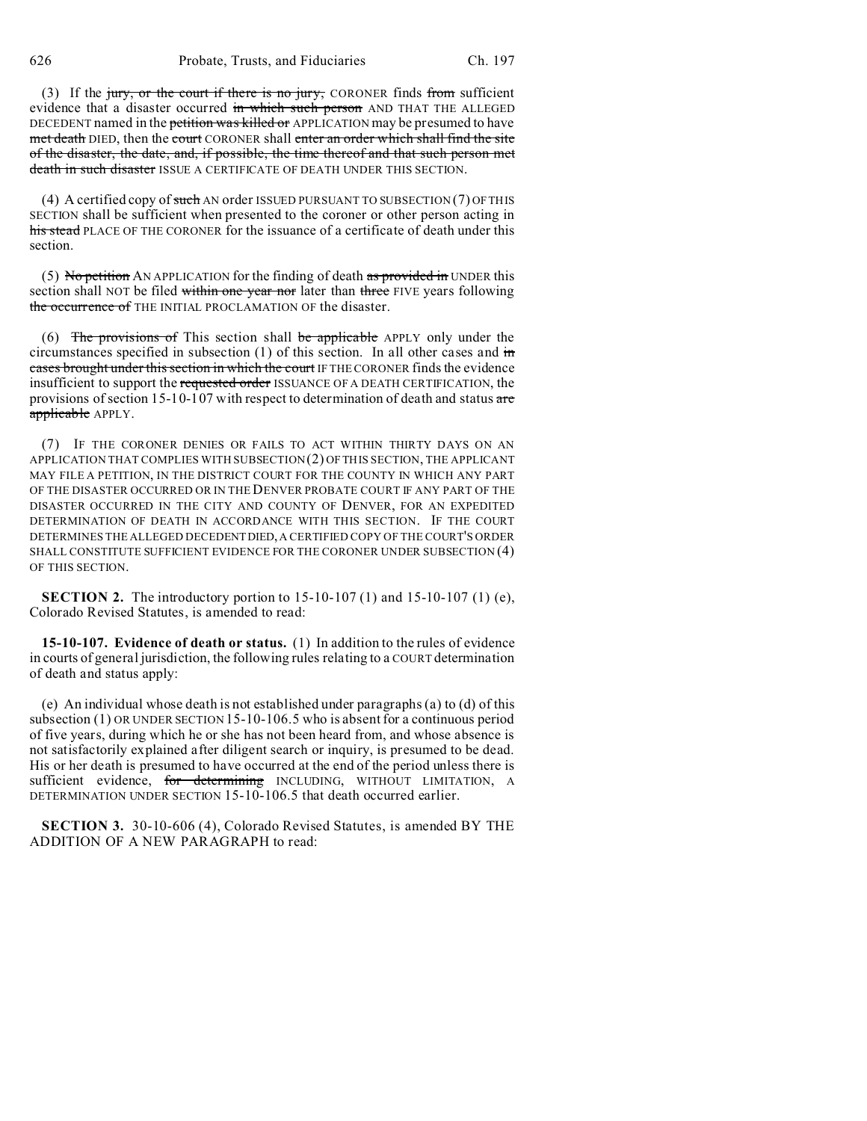(3) If the jury, or the court if there is no jury, CORONER finds from sufficient evidence that a disaster occurred in which such person AND THAT THE ALLEGED DECEDENT named in the petition was killed or APPLICATION may be presumed to have met death DIED, then the court CORONER shall enter an order which shall find the site of the disaster, the date, and, if possible, the time thereof and that such person met death in such disaster ISSUE A CERTIFICATE OF DEATH UNDER THIS SECTION.

(4) A certified copy of such AN order ISSUED PURSUANT TO SUBSECTION (7) OF THIS SECTION shall be sufficient when presented to the coroner or other person acting in his stead PLACE OF THE CORONER for the issuance of a certificate of death under this section.

(5) No petition AN APPLICATION for the finding of death as provided in UNDER this section shall NOT be filed within one year nor later than three FIVE years following the occurrence of THE INITIAL PROCLAMATION OF the disaster.

(6) The provisions of This section shall be applicable APPLY only under the circumstances specified in subsection  $(1)$  of this section. In all other cases and  $\overline{m}$ cases brought under this section in which the court IF THE CORONER finds the evidence insufficient to support the requested order ISSUANCE OF A DEATH CERTIFICATION, the provisions of section 15-10-107 with respect to determination of death and status are applicable APPLY.

(7) IF THE CORONER DENIES OR FAILS TO ACT WITHIN THIRTY DAYS ON AN APPLICATION THAT COMPLIES WITH SUBSECTION (2) OF THIS SECTION, THE APPLICANT MAY FILE A PETITION, IN THE DISTRICT COURT FOR THE COUNTY IN WHICH ANY PART OF THE DISASTER OCCURRED OR IN THE DENVER PROBATE COURT IF ANY PART OF THE DISASTER OCCURRED IN THE CITY AND COUNTY OF DENVER, FOR AN EXPEDITED DETERMINATION OF DEATH IN ACCORDANCE WITH THIS SECTION. IF THE COURT DETERMINES THE ALLEGED DECEDENTDIED, A CERTIFIED COPY OF THE COURT'S ORDER SHALL CONSTITUTE SUFFICIENT EVIDENCE FOR THE CORONER UNDER SUBSECTION (4) OF THIS SECTION.

**SECTION 2.** The introductory portion to 15-10-107 (1) and 15-10-107 (1) (e), Colorado Revised Statutes, is amended to read:

**15-10-107. Evidence of death or status.** (1) In addition to the rules of evidence in courts of general jurisdiction, the following rules relating to a COURT determination of death and status apply:

(e) An individual whose death is not established under paragraphs (a) to (d) of this subsection (1) OR UNDER SECTION 15-10-106.5 who is absent for a continuous period of five years, during which he or she has not been heard from, and whose absence is not satisfactorily explained after diligent search or inquiry, is presumed to be dead. His or her death is presumed to have occurred at the end of the period unless there is sufficient evidence, for determining INCLUDING, WITHOUT LIMITATION, A DETERMINATION UNDER SECTION 15-10-106.5 that death occurred earlier.

**SECTION 3.** 30-10-606 (4), Colorado Revised Statutes, is amended BY THE ADDITION OF A NEW PARAGRAPH to read: